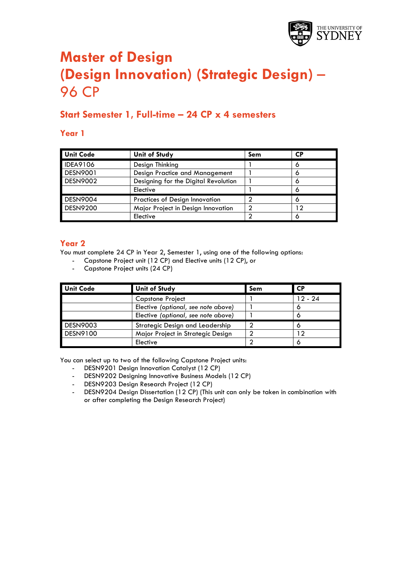

# **Master of Design (Design Innovation) (Strategic Design)** – 96 CP

# **Start Semester 1, Full-time – 24 CP x 4 semesters**

#### **Year 1**

| <b>Unit Code</b> | <b>Unit of Study</b>                 | Sem | СP |
|------------------|--------------------------------------|-----|----|
| <b>IDEA9106</b>  | Design Thinking                      |     |    |
| <b>DESN9001</b>  | Design Practice and Management       |     |    |
| <b>DESN9002</b>  | Designing for the Digital Revolution |     | o  |
|                  | Elective                             |     |    |
| <b>DESN9004</b>  | Practices of Design Innovation       |     |    |
| <b>DESN9200</b>  | Major Project in Design Innovation   |     |    |
|                  | Elective                             |     | o  |

#### **Year 2**

You must complete 24 CP in Year 2, Semester 1, using one of the following options:

- Capstone Project unit (12 CP) and Elective units (12 CP), or
- Capstone Project units (24 CP)

| <b>Unit Code</b> | <b>Unit of Study</b>                | Sem | <b>CP</b> |
|------------------|-------------------------------------|-----|-----------|
|                  | <b>Capstone Project</b>             |     | 12 - 24   |
|                  | Elective (optional, see note above) |     |           |
|                  | Elective (optional, see note above) |     |           |
| <b>DESN9003</b>  | Strategic Design and Leadership     |     |           |
| DESN9100         | Major Project in Strategic Design   |     |           |
|                  | Elective                            |     |           |

- DESN9201 Design Innovation Catalyst (12 CP)
- DESN9202 Designing Innovative Business Models (12 CP)
- DESN9203 Design Research Project (12 CP)
- DESN9204 Design Dissertation (12 CP) (This unit can only be taken in combination with or after completing the Design Research Project)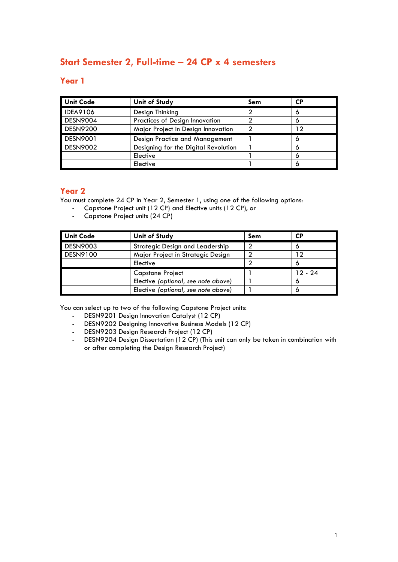# **Start Semester 2, Full-time – 24 CP x 4 semesters**

#### **Year 1**

| <b>Unit Code</b> | <b>Unit of Study</b>                 | Sem | <b>CP</b> |
|------------------|--------------------------------------|-----|-----------|
| <b>IDEA9106</b>  | Design Thinking                      |     |           |
| <b>DESN9004</b>  | Practices of Design Innovation       |     |           |
| <b>DESN9200</b>  | Major Project in Design Innovation   |     | 12        |
| <b>DESN9001</b>  | Design Practice and Management       |     |           |
| <b>DESN9002</b>  | Designing for the Digital Revolution |     |           |
|                  | Elective                             |     |           |
|                  | Elective                             |     |           |

#### **Year 2**

You must complete 24 CP in Year 2, Semester 1, using one of the following options:

- Capstone Project unit (12 CP) and Elective units (12 CP), or<br>- Capstone Project units (24 CP)
- Capstone Project units (24 CP)

| <b>Unit Code</b> | <b>Unit of Study</b>                | Sem | СP        |
|------------------|-------------------------------------|-----|-----------|
| <b>DESN9003</b>  | Strategic Design and Leadership     |     |           |
| DESN9100         | Major Project in Strategic Design   |     |           |
|                  | Elective                            |     |           |
|                  | <b>Capstone Project</b>             |     | $12 - 24$ |
|                  | Elective (optional, see note above) |     |           |
|                  | Elective (optional, see note above) |     |           |

- DESN9201 Design Innovation Catalyst (12 CP)
- DESN9202 Designing Innovative Business Models (12 CP)
- DESN9203 Design Research Project (12 CP)
- DESN9204 Design Dissertation (12 CP) (This unit can only be taken in combination with or after completing the Design Research Project)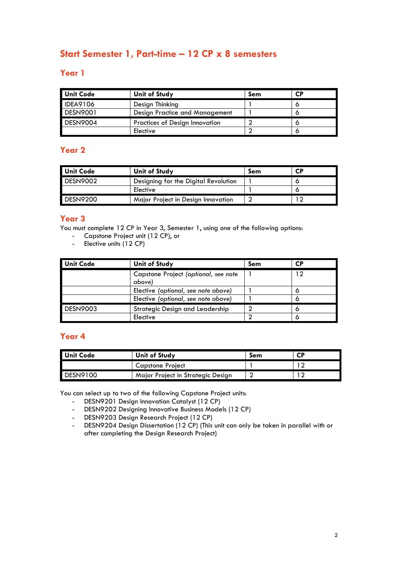# **Start Semester 1, Part-time – 12 CP x 8 semesters**

#### **Year 1**

| <b>Unit Code</b> | Unit of Study                         | Sem | <b>CP</b> |
|------------------|---------------------------------------|-----|-----------|
| <b>IDEA9106</b>  | Design Thinking                       |     |           |
| <b>DESN9001</b>  | Design Practice and Management        |     |           |
| <b>DESN9004</b>  | <b>Practices of Design Innovation</b> |     |           |
|                  | Elective                              |     |           |

#### **Year 2**

| <b>Unit Code</b> | Unit of Study                        | Sem | <b>CP</b> |
|------------------|--------------------------------------|-----|-----------|
| <b>DESN9002</b>  | Designing for the Digital Revolution |     |           |
|                  | Elective                             |     |           |
| <b>DESN9200</b>  | Major Project in Design Innovation   |     |           |

#### **Year 3**

You must complete 12 CP in Year 3, Semester 1, using one of the following options:

- Capstone Project unit (12 CP), or
- Elective units (12 CP)

| Unit Code       | <b>Unit of Study</b>                           | Sem | <b>CP</b> |
|-----------------|------------------------------------------------|-----|-----------|
|                 | Capstone Project (optional, see note<br>above) |     | 12        |
|                 | Elective (optional, see note above)            |     |           |
|                 | Elective (optional, see note above)            |     |           |
| <b>DESN9003</b> | Strategic Design and Leadership                |     |           |
|                 | Elective                                       |     |           |

## **Year 4**

| Unit Code | Unit of Study                     | Sem | СP |
|-----------|-----------------------------------|-----|----|
|           | Capstone Project                  |     |    |
| DESN9100  | Major Project in Strategic Design |     |    |

- DESN9201 Design Innovation Catalyst (12 CP)
- DESN9202 Designing Innovative Business Models (12 CP)
- DESN9203 Design Research Project (12 CP)<br>- DESN9204 Design Dissertation (12 CP) (This
- DESN9204 Design Dissertation (12 CP) (This unit can only be taken in parallel with or after completing the Design Research Project)